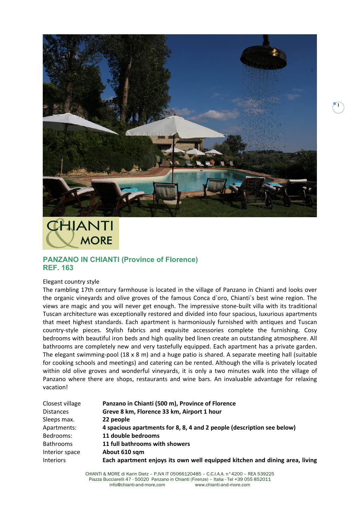

## CHIANTI **MORE**

## **PANZANO IN CHIANTI (Province of Florence) REF. 163**

## Elegant country style

The rambling 17th century farmhouse is located in the village of Panzano in Chianti and looks over the organic vineyards and olive groves of the famous Conca d`oro, Chianti`s best wine region. The views are magic and you will never get enough. The impressive stone-built villa with its traditional Tuscan architecture was exceptionally restored and divided into four spacious, luxurious apartments that meet highest standards. Each apartment is harmoniously furnished with antiques and Tuscan country-style pieces. Stylish fabrics and exquisite accessories complete the furnishing. Cosy bedrooms with beautiful iron beds and high quality bed linen create an outstanding atmosphere. All bathrooms are completely new and very tastefully equipped. Each apartment has a private garden. The elegant swimming-pool  $(18 \times 8 \text{ m})$  and a huge patio is shared. A separate meeting hall (suitable for cooking schools and meetings) and catering can be rented. Although the villa is privately located within old olive groves and wonderful vineyards, it is only a two minutes walk into the village of Panzano where there are shops, restaurants and wine bars. An invaluable advantage for relaxing vacation!

| Closest village  | Panzano in Chianti (500 m), Province of Florence                            |
|------------------|-----------------------------------------------------------------------------|
| <b>Distances</b> | Greve 8 km, Florence 33 km, Airport 1 hour                                  |
| Sleeps max.      | 22 people                                                                   |
| Apartments:      | 4 spacious apartments for 8, 8, 4 and 2 people (description see below)      |
| Bedrooms:        | 11 double bedrooms                                                          |
| <b>Bathrooms</b> | 11 full bathrooms with showers                                              |
| Interior space   | About 610 sqm                                                               |
| <b>Interiors</b> | Each apartment enjoys its own well equipped kitchen and dining area, living |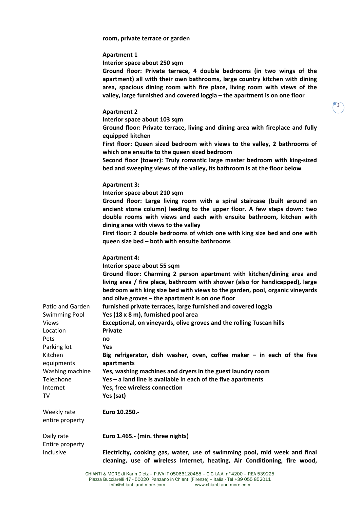**room, private terrace or garden**

| Apartment 1                                                                                                                                                                                                                                                                                                    |  |  |  |
|----------------------------------------------------------------------------------------------------------------------------------------------------------------------------------------------------------------------------------------------------------------------------------------------------------------|--|--|--|
| Interior space about 250 sqm                                                                                                                                                                                                                                                                                   |  |  |  |
| Ground floor: Private terrace, 4 double bedrooms (in two wings of the<br>apartment) all with their own bathrooms, large country kitchen with dining<br>area, spacious dining room with fire place, living room with views of the<br>valley, large furnished and covered loggia – the apartment is on one floor |  |  |  |
| <b>Apartment 2</b>                                                                                                                                                                                                                                                                                             |  |  |  |
| Interior space about 103 sqm                                                                                                                                                                                                                                                                                   |  |  |  |
|                                                                                                                                                                                                                                                                                                                |  |  |  |

**Ground floor: Private terrace, living and dining area with fireplace and fully equipped kitchen**

**First floor: Queen sized bedroom with views to the valley, 2 bathrooms of which one ensuite to the queen sized bedroom**

**Second floor (tower): Truly romantic large master bedroom with king-sized bed and sweeping views of the valley, its bathroom is at the floor below**

## **Apartment 3:**

**Interior space about 210 sqm**

**Ground floor: Large living room with a spiral staircase (built around an ancient stone column) leading to the upper floor. A few steps down: two double rooms with views and each with ensuite bathroom, kitchen with dining area with views to the valley**

**First floor: 2 double bedrooms of which one with king size bed and one with queen size bed – both with ensuite bathrooms**

|                      | <b>Apartment 4:</b>                                                                                                                                                                                                                    |
|----------------------|----------------------------------------------------------------------------------------------------------------------------------------------------------------------------------------------------------------------------------------|
|                      | Interior space about 55 sqm                                                                                                                                                                                                            |
|                      | Ground floor: Charming 2 person apartment with kitchen/dining area and<br>living area / fire place, bathroom with shower (also for handicapped), large<br>bedroom with king size bed with views to the garden, pool, organic vineyards |
|                      | and olive groves - the apartment is on one floor                                                                                                                                                                                       |
| Patio and Garden     | furnished private terraces, large furnished and covered loggia                                                                                                                                                                         |
| <b>Swimming Pool</b> | Yes (18 x 8 m), furnished pool area                                                                                                                                                                                                    |
| <b>Views</b>         | Exceptional, on vineyards, olive groves and the rolling Tuscan hills                                                                                                                                                                   |
| Location             | <b>Private</b>                                                                                                                                                                                                                         |
| Pets                 | no                                                                                                                                                                                                                                     |
| Parking lot          | <b>Yes</b>                                                                                                                                                                                                                             |
| Kitchen              | Big refrigerator, dish washer, oven, coffee maker $-$ in each of the five                                                                                                                                                              |
| equipments           | apartments                                                                                                                                                                                                                             |
| Washing machine      | Yes, washing machines and dryers in the guest laundry room                                                                                                                                                                             |
| Telephone            | $Yes - a$ land line is available in each of the five apartments                                                                                                                                                                        |
| Internet             | Yes, free wireless connection                                                                                                                                                                                                          |
| TV                   | Yes (sat)                                                                                                                                                                                                                              |
| Weekly rate          | Euro 10.250 .-                                                                                                                                                                                                                         |
| entire property      |                                                                                                                                                                                                                                        |
| Daily rate           | Euro 1.465.- (min. three nights)                                                                                                                                                                                                       |
| Entire property      |                                                                                                                                                                                                                                        |
| Inclusive            | Electricity, cooking gas, water, use of swimming pool, mid week and final<br>cleaning, use of wireless Internet, heating, Air Conditioning, fire wood,                                                                                 |